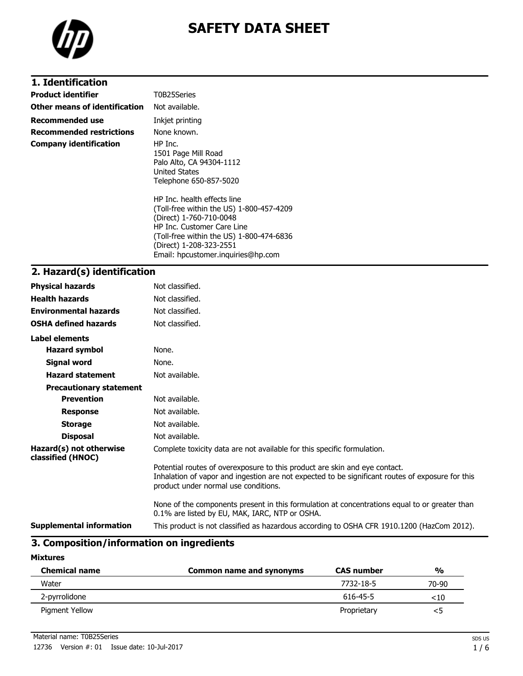

# **SAFETY DATA SHEET**

| 1. Identification               |                                                                                                              |
|---------------------------------|--------------------------------------------------------------------------------------------------------------|
| <b>Product identifier</b>       | T0B25Series                                                                                                  |
| Other means of identification   | Not available.                                                                                               |
| <b>Recommended use</b>          | Inkjet printing                                                                                              |
| <b>Recommended restrictions</b> | None known.                                                                                                  |
| <b>Company identification</b>   | HP Inc.<br>1501 Page Mill Road<br>Palo Alto, CA 94304-1112<br><b>United States</b><br>Telephone 650-857-5020 |
|                                 | HP Inc. health effects line<br>(Toll-free within the US) 1-800-457-4209<br>(Direct) 1-760-710-0048           |

(Direct) 1-760-710-0048 HP Inc. Customer Care Line (Toll-free within the US) 1-800-474-6836 (Direct) 1-208-323-2551 Email: hpcustomer.inquiries@hp.com

## **2. Hazard(s) identification**

| <b>Physical hazards</b>                      | Not classified.                                                                                                                                                                                                        |
|----------------------------------------------|------------------------------------------------------------------------------------------------------------------------------------------------------------------------------------------------------------------------|
| <b>Health hazards</b>                        | Not classified.                                                                                                                                                                                                        |
| <b>Environmental hazards</b>                 | Not classified.                                                                                                                                                                                                        |
| <b>OSHA defined hazards</b>                  | Not classified.                                                                                                                                                                                                        |
| Label elements                               |                                                                                                                                                                                                                        |
| <b>Hazard symbol</b>                         | None.                                                                                                                                                                                                                  |
| <b>Signal word</b>                           | None.                                                                                                                                                                                                                  |
| <b>Hazard statement</b>                      | Not available.                                                                                                                                                                                                         |
| <b>Precautionary statement</b>               |                                                                                                                                                                                                                        |
| <b>Prevention</b>                            | Not available.                                                                                                                                                                                                         |
| <b>Response</b>                              | Not available.                                                                                                                                                                                                         |
| <b>Storage</b>                               | Not available.                                                                                                                                                                                                         |
| <b>Disposal</b>                              | Not available.                                                                                                                                                                                                         |
| Hazard(s) not otherwise<br>classified (HNOC) | Complete toxicity data are not available for this specific formulation.                                                                                                                                                |
|                                              | Potential routes of overexposure to this product are skin and eye contact.<br>Inhalation of vapor and ingestion are not expected to be significant routes of exposure for this<br>product under normal use conditions. |
|                                              | None of the components present in this formulation at concentrations equal to or greater than<br>0.1% are listed by EU, MAK, IARC, NTP or OSHA.                                                                        |
| <b>Supplemental information</b>              | This product is not classified as hazardous according to OSHA CFR 1910.1200 (HazCom 2012).                                                                                                                             |

# **3. Composition/information on ingredients**

#### **Mixtures**

| <b>Chemical name</b> | <b>Common name and synonyms</b> | <b>CAS number</b> | $\frac{0}{0}$ |
|----------------------|---------------------------------|-------------------|---------------|
| Water                |                                 | 7732-18-5         | 70-90         |
| 2-pyrrolidone        |                                 | 616-45-5          | ${<}10$       |
| Pigment Yellow       |                                 | Proprietary       |               |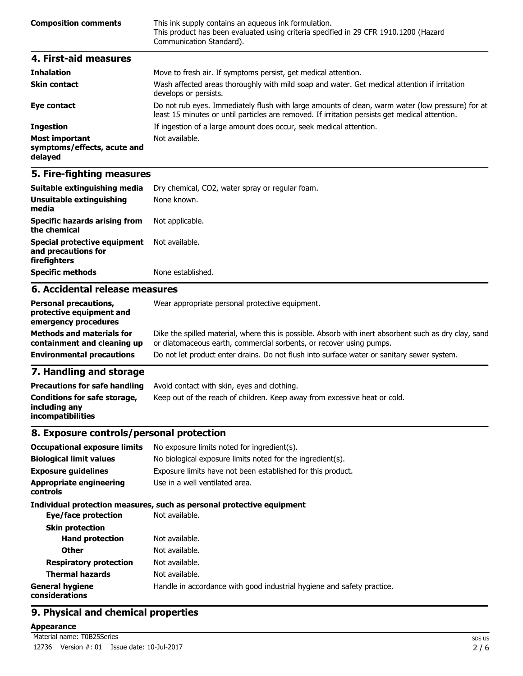| <b>Composition comments</b> | This ink supply contains an aqueous ink formulation.<br>This product has been evaluated using criteria specified in 29 CFR 1910.1200 (Hazard<br>Communication Standard). |
|-----------------------------|--------------------------------------------------------------------------------------------------------------------------------------------------------------------------|
| 4. First-aid measures       |                                                                                                                                                                          |
| <b>Inhalation</b>           | Move to fresh air. If symptoms persist, get medical attention.                                                                                                           |

|                                                                 | riove to fresh all. If symptoms persist, yet mealear attention.                                                                                                                                    |
|-----------------------------------------------------------------|----------------------------------------------------------------------------------------------------------------------------------------------------------------------------------------------------|
| <b>Skin contact</b>                                             | Wash affected areas thoroughly with mild soap and water. Get medical attention if irritation<br>develops or persists.                                                                              |
| Eye contact                                                     | Do not rub eyes. Immediately flush with large amounts of clean, warm water (low pressure) for at<br>least 15 minutes or until particles are removed. If irritation persists get medical attention. |
| <b>Ingestion</b>                                                | If ingestion of a large amount does occur, seek medical attention.                                                                                                                                 |
| <b>Most important</b><br>symptoms/effects, acute and<br>delayed | Not available.                                                                                                                                                                                     |

#### **5. Fire-fighting measures**

| Suitable extinguishing media                                               | Dry chemical, CO2, water spray or regular foam. |
|----------------------------------------------------------------------------|-------------------------------------------------|
| Unsuitable extinguishing<br>media                                          | None known.                                     |
| <b>Specific hazards arising from</b><br>the chemical                       | Not applicable.                                 |
| <b>Special protective equipment</b><br>and precautions for<br>firefighters | Not available.                                  |
| <b>Specific methods</b>                                                    | None established.                               |
| 6. Accidental release measures                                             |                                                 |
|                                                                            |                                                 |

#### **Personal precautions, protective equipment and emergency procedures** Wear appropriate personal protective equipment. **Methods and materials for containment and cleaning up** Dike the spilled material, where this is possible. Absorb with inert absorbent such as dry clay, sand or diatomaceous earth, commercial sorbents, or recover using pumps. **Environmental precautions** Do not let product enter drains. Do not flush into surface water or sanitary sewer system.

# **7. Handling and storage**

| <b>Precautions for safe handling</b>                                      | Avoid contact with skin, eyes and clothing.                               |
|---------------------------------------------------------------------------|---------------------------------------------------------------------------|
| Conditions for safe storage,<br>including any<br><b>incompatibilities</b> | Keep out of the reach of children. Keep away from excessive heat or cold. |

#### **8. Exposure controls/personal protection**

| <b>Occupational exposure limits</b>        | No exposure limits noted for ingredient(s).                            |
|--------------------------------------------|------------------------------------------------------------------------|
| <b>Biological limit values</b>             | No biological exposure limits noted for the ingredient(s).             |
| <b>Exposure guidelines</b>                 | Exposure limits have not been established for this product.            |
| <b>Appropriate engineering</b><br>controls | Use in a well ventilated area.                                         |
|                                            | Individual protection measures, such as personal protective equipment  |
| Eye/face protection                        | Not available.                                                         |
| <b>Skin protection</b>                     |                                                                        |
| <b>Hand protection</b>                     | Not available.                                                         |
| <b>Other</b>                               | Not available.                                                         |
| <b>Respiratory protection</b>              | Not available.                                                         |
| <b>Thermal hazards</b>                     | Not available.                                                         |
| <b>General hygiene</b><br>considerations   | Handle in accordance with good industrial hygiene and safety practice. |

## **9. Physical and chemical properties**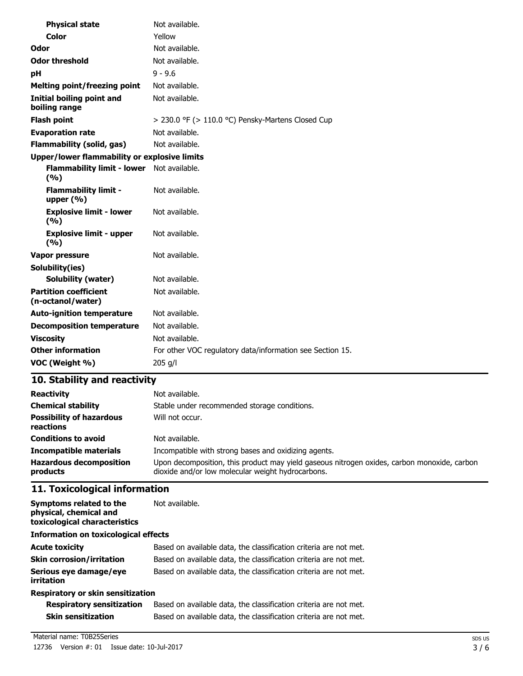| <b>Physical state</b>                               | Not available.                                            |
|-----------------------------------------------------|-----------------------------------------------------------|
| <b>Color</b>                                        | Yellow                                                    |
| Odor                                                | Not available.                                            |
| <b>Odor threshold</b>                               | Not available.                                            |
| рH                                                  | $9 - 9.6$                                                 |
| <b>Melting point/freezing point</b>                 | Not available.                                            |
| <b>Initial boiling point and</b><br>boiling range   | Not available.                                            |
| <b>Flash point</b>                                  | $>$ 230.0 °F ( $>$ 110.0 °C) Pensky-Martens Closed Cup    |
| <b>Evaporation rate</b>                             | Not available.                                            |
| <b>Flammability (solid, gas)</b>                    | Not available.                                            |
| <b>Upper/lower flammability or explosive limits</b> |                                                           |
| <b>Flammability limit - lower</b><br>(%)            | Not available.                                            |
| <b>Flammability limit -</b><br>upper $(% )$         | Not available.                                            |
| <b>Explosive limit - lower</b><br>(%)               | Not available.                                            |
| <b>Explosive limit - upper</b><br>(9/6)             | Not available.                                            |
| <b>Vapor pressure</b>                               | Not available.                                            |
| Solubility(ies)                                     |                                                           |
| <b>Solubility (water)</b>                           | Not available.                                            |
| <b>Partition coefficient</b><br>(n-octanol/water)   | Not available.                                            |
| <b>Auto-ignition temperature</b>                    | Not available.                                            |
| <b>Decomposition temperature</b>                    | Not available.                                            |
| <b>Viscosity</b>                                    | Not available.                                            |
| <b>Other information</b>                            | For other VOC regulatory data/information see Section 15. |
| VOC (Weight %)                                      | 205 g/l                                                   |

# **10. Stability and reactivity**

| <b>Reactivity</b>                            | Not available.                                                                                                                                   |
|----------------------------------------------|--------------------------------------------------------------------------------------------------------------------------------------------------|
| <b>Chemical stability</b>                    | Stable under recommended storage conditions.                                                                                                     |
| <b>Possibility of hazardous</b><br>reactions | Will not occur.                                                                                                                                  |
| <b>Conditions to avoid</b>                   | Not available.                                                                                                                                   |
| <b>Incompatible materials</b>                | Incompatible with strong bases and oxidizing agents.                                                                                             |
| <b>Hazardous decomposition</b><br>products   | Upon decomposition, this product may yield gaseous nitrogen oxides, carbon monoxide, carbon<br>dioxide and/or low molecular weight hydrocarbons. |

# **11. Toxicological information**

| Symptoms related to the<br>physical, chemical and<br>toxicological characteristics | Not available.                                                    |
|------------------------------------------------------------------------------------|-------------------------------------------------------------------|
| <b>Information on toxicological effects</b>                                        |                                                                   |
| <b>Acute toxicity</b>                                                              | Based on available data, the classification criteria are not met. |
| <b>Skin corrosion/irritation</b>                                                   | Based on available data, the classification criteria are not met. |
| Serious eye damage/eye<br><i>irritation</i>                                        | Based on available data, the classification criteria are not met. |
| Respiratory or skin sensitization                                                  |                                                                   |

| Respiratory or skin sensitization |
|-----------------------------------|
|-----------------------------------|

| <b>Respiratory sensitization</b> | Based on available data, the classification criteria are not met. |
|----------------------------------|-------------------------------------------------------------------|
| <b>Skin sensitization</b>        | Based on available data, the classification criteria are not met. |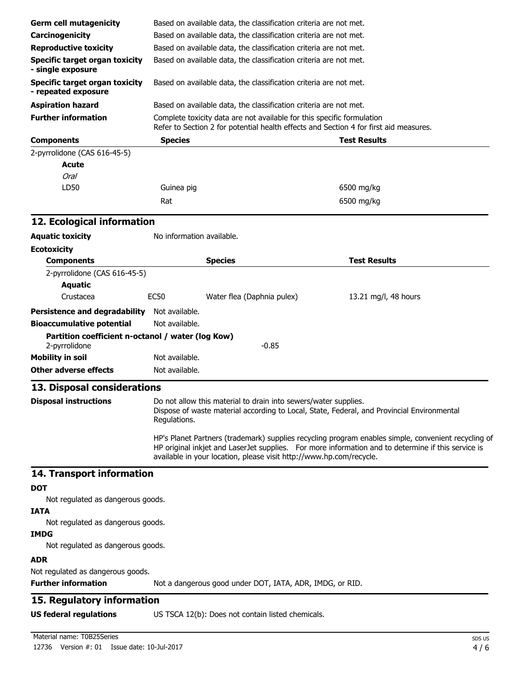| <b>Germ cell mutagenicity</b>                                      |                                                                                                                                                                                                                                                                                  |                                                                                                                                        |                      |  |
|--------------------------------------------------------------------|----------------------------------------------------------------------------------------------------------------------------------------------------------------------------------------------------------------------------------------------------------------------------------|----------------------------------------------------------------------------------------------------------------------------------------|----------------------|--|
| Carcinogenicity                                                    |                                                                                                                                                                                                                                                                                  | Based on available data, the classification criteria are not met.                                                                      |                      |  |
| <b>Reproductive toxicity</b>                                       |                                                                                                                                                                                                                                                                                  | Based on available data, the classification criteria are not met.<br>Based on available data, the classification criteria are not met. |                      |  |
|                                                                    |                                                                                                                                                                                                                                                                                  |                                                                                                                                        |                      |  |
| <b>Specific target organ toxicity</b><br>- single exposure         | Based on available data, the classification criteria are not met.<br>Based on available data, the classification criteria are not met.                                                                                                                                           |                                                                                                                                        |                      |  |
| <b>Specific target organ toxicity</b><br>- repeated exposure       |                                                                                                                                                                                                                                                                                  |                                                                                                                                        |                      |  |
| <b>Aspiration hazard</b>                                           |                                                                                                                                                                                                                                                                                  | Based on available data, the classification criteria are not met.                                                                      |                      |  |
| <b>Further information</b>                                         | Complete toxicity data are not available for this specific formulation<br>Refer to Section 2 for potential health effects and Section 4 for first aid measures.                                                                                                                  |                                                                                                                                        |                      |  |
| <b>Components</b>                                                  | <b>Species</b>                                                                                                                                                                                                                                                                   |                                                                                                                                        | <b>Test Results</b>  |  |
| 2-pyrrolidone (CAS 616-45-5)                                       |                                                                                                                                                                                                                                                                                  |                                                                                                                                        |                      |  |
| <b>Acute</b>                                                       |                                                                                                                                                                                                                                                                                  |                                                                                                                                        |                      |  |
| Oral                                                               |                                                                                                                                                                                                                                                                                  |                                                                                                                                        |                      |  |
| LD50                                                               | Guinea pig                                                                                                                                                                                                                                                                       |                                                                                                                                        | 6500 mg/kg           |  |
|                                                                    | Rat                                                                                                                                                                                                                                                                              |                                                                                                                                        | 6500 mg/kg           |  |
| 12. Ecological information                                         |                                                                                                                                                                                                                                                                                  |                                                                                                                                        |                      |  |
| <b>Aquatic toxicity</b>                                            | No information available.                                                                                                                                                                                                                                                        |                                                                                                                                        |                      |  |
| <b>Ecotoxicity</b>                                                 |                                                                                                                                                                                                                                                                                  |                                                                                                                                        |                      |  |
| <b>Components</b>                                                  |                                                                                                                                                                                                                                                                                  | <b>Species</b>                                                                                                                         | <b>Test Results</b>  |  |
| 2-pyrrolidone (CAS 616-45-5)                                       |                                                                                                                                                                                                                                                                                  |                                                                                                                                        |                      |  |
| <b>Aquatic</b>                                                     |                                                                                                                                                                                                                                                                                  |                                                                                                                                        |                      |  |
| Crustacea                                                          | <b>EC50</b>                                                                                                                                                                                                                                                                      | Water flea (Daphnia pulex)                                                                                                             | 13.21 mg/l, 48 hours |  |
| <b>Persistence and degradability</b>                               | Not available.                                                                                                                                                                                                                                                                   |                                                                                                                                        |                      |  |
| <b>Bioaccumulative potential</b>                                   | Not available.                                                                                                                                                                                                                                                                   |                                                                                                                                        |                      |  |
|                                                                    |                                                                                                                                                                                                                                                                                  |                                                                                                                                        |                      |  |
| Partition coefficient n-octanol / water (log Kow)<br>2-pyrrolidone |                                                                                                                                                                                                                                                                                  | $-0.85$                                                                                                                                |                      |  |
| <b>Mobility in soil</b>                                            | Not available.                                                                                                                                                                                                                                                                   |                                                                                                                                        |                      |  |
| <b>Other adverse effects</b>                                       | Not available.                                                                                                                                                                                                                                                                   |                                                                                                                                        |                      |  |
| 13. Disposal considerations                                        |                                                                                                                                                                                                                                                                                  |                                                                                                                                        |                      |  |
|                                                                    |                                                                                                                                                                                                                                                                                  |                                                                                                                                        |                      |  |
| <b>Disposal instructions</b>                                       | Do not allow this material to drain into sewers/water supplies.<br>Dispose of waste material according to Local, State, Federal, and Provincial Environmental<br>Regulations.                                                                                                    |                                                                                                                                        |                      |  |
|                                                                    | HP's Planet Partners (trademark) supplies recycling program enables simple, convenient recycling of<br>HP original inkjet and LaserJet supplies. For more information and to determine if this service is<br>available in your location, please visit http://www.hp.com/recycle. |                                                                                                                                        |                      |  |
| 14. Transport information                                          |                                                                                                                                                                                                                                                                                  |                                                                                                                                        |                      |  |
| <b>DOT</b>                                                         |                                                                                                                                                                                                                                                                                  |                                                                                                                                        |                      |  |
| Not regulated as dangerous goods.                                  |                                                                                                                                                                                                                                                                                  |                                                                                                                                        |                      |  |
| <b>IATA</b><br>Not regulated as dangerous goods.                   |                                                                                                                                                                                                                                                                                  |                                                                                                                                        |                      |  |
| <b>IMDG</b>                                                        |                                                                                                                                                                                                                                                                                  |                                                                                                                                        |                      |  |
| Not regulated as dangerous goods.                                  |                                                                                                                                                                                                                                                                                  |                                                                                                                                        |                      |  |
| <b>ADR</b>                                                         |                                                                                                                                                                                                                                                                                  |                                                                                                                                        |                      |  |
| Not regulated as dangerous goods.                                  |                                                                                                                                                                                                                                                                                  |                                                                                                                                        |                      |  |
| <b>Further information</b>                                         |                                                                                                                                                                                                                                                                                  | Not a dangerous good under DOT, IATA, ADR, IMDG, or RID.                                                                               |                      |  |
| 15. Regulatory information                                         |                                                                                                                                                                                                                                                                                  |                                                                                                                                        |                      |  |
| <b>US federal regulations</b>                                      |                                                                                                                                                                                                                                                                                  | US TSCA 12(b): Does not contain listed chemicals.                                                                                      |                      |  |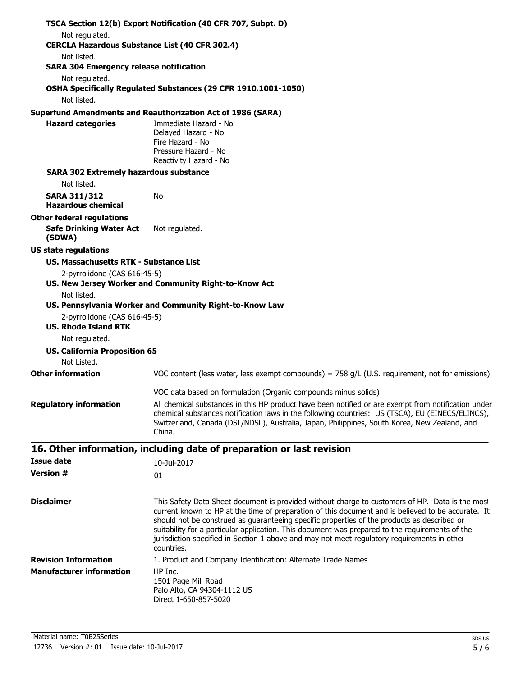| Not regulated.                                                                                                                                                                                                                                                                                                                                                                                                                                                                                                                            |  |
|-------------------------------------------------------------------------------------------------------------------------------------------------------------------------------------------------------------------------------------------------------------------------------------------------------------------------------------------------------------------------------------------------------------------------------------------------------------------------------------------------------------------------------------------|--|
|                                                                                                                                                                                                                                                                                                                                                                                                                                                                                                                                           |  |
| <b>CERCLA Hazardous Substance List (40 CFR 302.4)</b><br>Not listed.                                                                                                                                                                                                                                                                                                                                                                                                                                                                      |  |
| <b>SARA 304 Emergency release notification</b>                                                                                                                                                                                                                                                                                                                                                                                                                                                                                            |  |
| Not regulated.                                                                                                                                                                                                                                                                                                                                                                                                                                                                                                                            |  |
| OSHA Specifically Regulated Substances (29 CFR 1910.1001-1050)                                                                                                                                                                                                                                                                                                                                                                                                                                                                            |  |
| Not listed.                                                                                                                                                                                                                                                                                                                                                                                                                                                                                                                               |  |
| <b>Superfund Amendments and Reauthorization Act of 1986 (SARA)</b>                                                                                                                                                                                                                                                                                                                                                                                                                                                                        |  |
| <b>Hazard categories</b><br>Immediate Hazard - No<br>Delayed Hazard - No                                                                                                                                                                                                                                                                                                                                                                                                                                                                  |  |
| Fire Hazard - No                                                                                                                                                                                                                                                                                                                                                                                                                                                                                                                          |  |
| Pressure Hazard - No<br>Reactivity Hazard - No                                                                                                                                                                                                                                                                                                                                                                                                                                                                                            |  |
| <b>SARA 302 Extremely hazardous substance</b>                                                                                                                                                                                                                                                                                                                                                                                                                                                                                             |  |
| Not listed.                                                                                                                                                                                                                                                                                                                                                                                                                                                                                                                               |  |
| <b>SARA 311/312</b><br>No                                                                                                                                                                                                                                                                                                                                                                                                                                                                                                                 |  |
| <b>Hazardous chemical</b>                                                                                                                                                                                                                                                                                                                                                                                                                                                                                                                 |  |
| <b>Other federal regulations</b>                                                                                                                                                                                                                                                                                                                                                                                                                                                                                                          |  |
| <b>Safe Drinking Water Act</b><br>Not regulated.<br>(SDWA)                                                                                                                                                                                                                                                                                                                                                                                                                                                                                |  |
| <b>US state regulations</b>                                                                                                                                                                                                                                                                                                                                                                                                                                                                                                               |  |
| <b>US. Massachusetts RTK - Substance List</b>                                                                                                                                                                                                                                                                                                                                                                                                                                                                                             |  |
| 2-pyrrolidone (CAS 616-45-5)<br>US. New Jersey Worker and Community Right-to-Know Act                                                                                                                                                                                                                                                                                                                                                                                                                                                     |  |
| Not listed.                                                                                                                                                                                                                                                                                                                                                                                                                                                                                                                               |  |
| US. Pennsylvania Worker and Community Right-to-Know Law<br>2-pyrrolidone (CAS 616-45-5)                                                                                                                                                                                                                                                                                                                                                                                                                                                   |  |
| <b>US. Rhode Island RTK</b>                                                                                                                                                                                                                                                                                                                                                                                                                                                                                                               |  |
| Not regulated.                                                                                                                                                                                                                                                                                                                                                                                                                                                                                                                            |  |
| <b>US. California Proposition 65</b><br>Not Listed.                                                                                                                                                                                                                                                                                                                                                                                                                                                                                       |  |
| <b>Other information</b><br>VOC content (less water, less exempt compounds) = $758$ g/L (U.S. requirement, not for emissions)                                                                                                                                                                                                                                                                                                                                                                                                             |  |
| VOC data based on formulation (Organic compounds minus solids)                                                                                                                                                                                                                                                                                                                                                                                                                                                                            |  |
| <b>Regulatory information</b><br>All chemical substances in this HP product have been notified or are exempt from notification under                                                                                                                                                                                                                                                                                                                                                                                                      |  |
| chemical substances notification laws in the following countries: US (TSCA), EU (EINECS/ELINCS),<br>Switzerland, Canada (DSL/NDSL), Australia, Japan, Philippines, South Korea, New Zealand, and<br>China.                                                                                                                                                                                                                                                                                                                                |  |
| 16. Other information, including date of preparation or last revision                                                                                                                                                                                                                                                                                                                                                                                                                                                                     |  |
| <b>Issue date</b><br>10-Jul-2017                                                                                                                                                                                                                                                                                                                                                                                                                                                                                                          |  |
| <b>Version #</b><br>01                                                                                                                                                                                                                                                                                                                                                                                                                                                                                                                    |  |
|                                                                                                                                                                                                                                                                                                                                                                                                                                                                                                                                           |  |
| <b>Disclaimer</b><br>This Safety Data Sheet document is provided without charge to customers of HP. Data is the most<br>current known to HP at the time of preparation of this document and is believed to be accurate. It<br>should not be construed as guaranteeing specific properties of the products as described or<br>suitability for a particular application. This document was prepared to the requirements of the<br>jurisdiction specified in Section 1 above and may not meet regulatory requirements in other<br>countries. |  |
| <b>Revision Information</b><br>1. Product and Company Identification: Alternate Trade Names                                                                                                                                                                                                                                                                                                                                                                                                                                               |  |
| <b>Manufacturer information</b><br>HP Inc.<br>1501 Page Mill Road<br>Palo Alto, CA 94304-1112 US<br>Direct 1-650-857-5020                                                                                                                                                                                                                                                                                                                                                                                                                 |  |